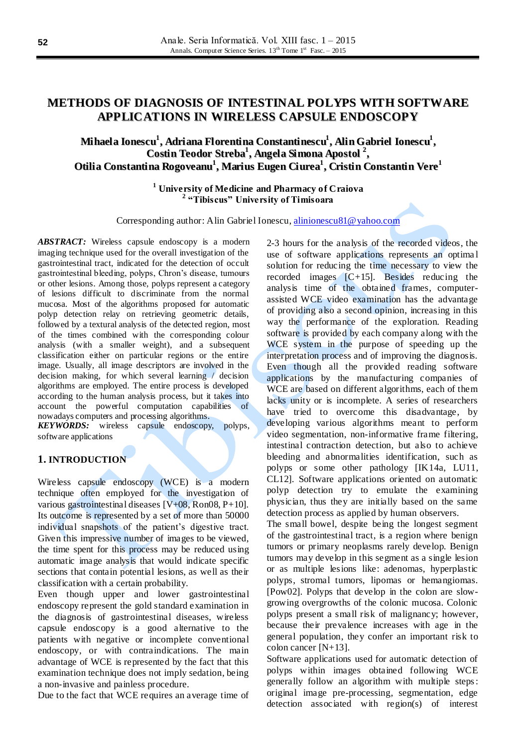# **METHODS OF DIAGNOSIS OF INTESTINAL POLYPS WITH SOFTWARE APPLICATIONS IN WIRELESS CAPSULE ENDOSCOPY**

# **Mihaela Ionescu 1 , Adriana Florentina Constantinescu 1 , AlinGabriel Ionescu 1 , Costin Teodor Streba 1 , Angela Simona Apostol 2 , Otilia Constantina Rogoveanu 1 , Marius Eugen Ciurea 1 , Cristin Constantin Vere 1**

**<sup>1</sup> University of Medicine and Pharmacy of Craiova 2 "Tibiscus" University of Timisoara**

Corresponding author: Alin Gabriel Ionescu[, alinionescu81@yahoo.com](mailto:alinionescu81@yahoo.com)

*ABSTRACT:* Wireless capsule endoscopy is a modern imaging technique used for the overall investigation of the gastrointestinal tract, indicated for the detection of occult gastrointestinal bleeding, polyps, Chron's disease, tumours or other lesions. Among those, polyps represent a category of lesions difficult to discriminate from the normal mucosa. Most of the algorithms proposed for automatic polyp detection relay on retrieving geometric details, followed by a textural analysis of the detected region, most of the times combined with the corresponding colour analysis (with a smaller weight), and a subsequent classification either on particular regions or the entire image. Usually, all image descriptors are involved in the decision making, for which several learning / decision algorithms are employed. The entire process is developed according to the human analysis process, but it takes into account the powerful computation capabilities of nowadays computers and processing algorithms.

*KEYWORDS:* wireless capsule endoscopy, polyps, software applications

# **1. INTRODUCTION**

Wireless capsule endoscopy (WCE) is a modern technique often employed for the investigation of various gastrointestinal diseases [V+08, Ron08, P+10]. Its outcome is represented by a set of more than 50000 individual snapshots of the patient's digestive tract. Given this impressive number of images to be viewed, the time spent for this process may be reduced using automatic image analysis that would indicate specific sections that contain potential lesions, as well as their classification with a certain probability.

Even though upper and lower gastrointestinal endoscopy represent the gold standard examination in the diagnosis of gastrointestinal diseases, wireless capsule endoscopy is a good alternative to the patients with negative or incomplete conventional endoscopy, or with contraindications. The main advantage of WCE is represented by the fact that this examination technique does not imply sedation, being a non-invasive and painless procedure.

Due to the fact that WCE requires an average time of

2-3 hours for the analysis of the recorded videos, the use of software applications represents an optima l solution for reducing the time necessary to view the recorded images  $[C+15]$ . Besides reducing the analysis time of the obtained frames, computerassisted WCE video examination has the advantage of providing also a second opinion, increasing in this way the performance of the exploration. Reading software is provided by each company along with the WCE system in the purpose of speeding up the interpretation process and of improving the diagnosis. Even though all the provided reading software applications by the manufacturing companies of WCE are based on different algorithms, each of them lacks unity or is incomplete. A series of researchers have tried to overcome this disadvantage, by developing various algorithms meant to perform video segmentation, non-informative frame filtering, intestinal contraction detection, but also to achieve bleeding and abnormalities identification, such as polyps or some other pathology [IK14a, LU11, CL12]. Software applications oriented on automatic polyp detection try to emulate the examining physician, thus they are initially based on the same detection process as applied by human observers.

The small bowel, despite being the longest segment of the gastrointestinal tract, is a region where benign tumors or primary neoplasms rarely develop. Benign tumors may develop in this segment as a single lesion or as multiple lesions like: adenomas, hyperplastic polyps, stromal tumors, lipomas or hemangiomas. [Pow02]. Polyps that develop in the colon are slowgrowing overgrowths of the colonic mucosa. Colonic polyps present a small risk of malignancy; however, because their prevalence increases with age in the general population, they confer an important risk to colon cancer [N+13].

Software applications used for automatic detection of polyps within images obtained following WCE generally follow an algorithm with multiple steps : original image pre-processing, segmentation, edge detection associated with region(s) of interest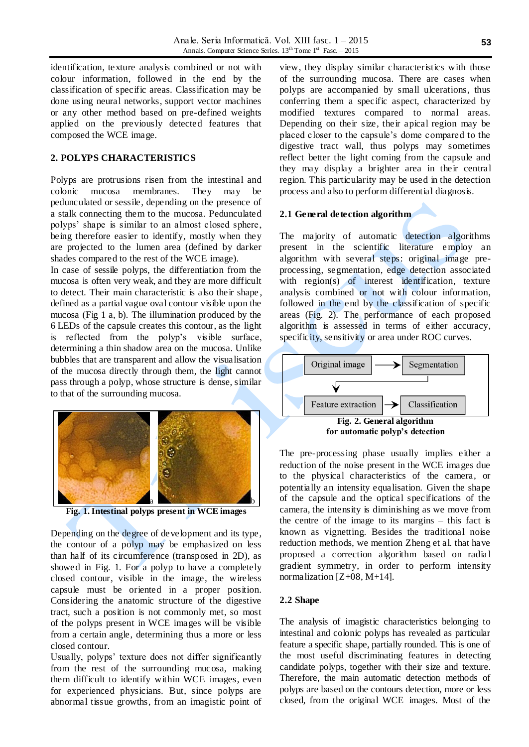identification, texture analysis combined or not with colour information, followed in the end by the classification of specific areas. Classification may be done using neural networks, support vector machines or any other method based on pre-defined weights applied on the previously detected features that composed the WCE image.

### **2. POLYPS CHARACTERISTICS**

Polyps are protrusions risen from the intestinal and colonic mucosa membranes. They may be pedunculated or sessile, depending on the presence of a stalk connecting them to the mucosa. Pedunculated polyps' shape is similar to an almost closed sphere, being therefore easier to identify, mostly when they are projected to the lumen area (defined by darker shades compared to the rest of the WCE image).

In case of sessile polyps, the differentiation from the mucosa is often very weak, and they are more difficult to detect. Their main characteristic is also their shape , defined as a partial vague oval contour visible upon the mucosa (Fig 1 a, b). The illumination produced by the 6 LEDs of the capsule creates this contour, as the light is reflected from the polyp's visible surface, determining a thin shadow area on the mucosa. Unlike bubbles that are transparent and allow the visualisation of the mucosa directly through them, the light cannot pass through a polyp, whose structure is dense, similar to that of the surrounding mucosa.



**Fig. 1. Intestinal polyps present in WCE images**

Depending on the degree of development and its type, the contour of a polyp may be emphasized on less than half of its circumference (transposed in 2D), as showed in Fig. 1. For a polyp to have a completely closed contour, visible in the image, the wireless capsule must be oriented in a proper position. Considering the anatomic structure of the digestive tract, such a position is not commonly met, so most of the polyps present in WCE images will be visible from a certain angle, determining thus a more or less closed contour.

Usually, polyps' texture does not differ significantly from the rest of the surrounding mucosa, making them difficult to identify within WCE images, even for experienced physicians. But, since polyps are abnormal tissue growths, from an imagistic point of

view, they display similar characteristics with those of the surrounding mucosa. There are cases when polyps are accompanied by small ulcerations, thus conferring them a specific aspect, characterized by modified textures compared to normal areas. Depending on their size, their apical region may be placed closer to the capsule's dome compared to the digestive tract wall, thus polyps may sometimes reflect better the light coming from the capsule and they may display a brighter area in their central region. This particularity may be used in the detection process and also to perform differential diagnosis.

#### **2.1 General detection algorithm**

The majority of automatic detection algorithms present in the scientific literature employ an algorithm with several steps: original image preprocessing, segmentation, edge detection associated with region(s) of interest identification, texture analysis combined or not with colour information, followed in the end by the classification of specific areas (Fig. 2). The performance of each proposed algorithm is assessed in terms of either accuracy, specificity, sensitivity or area under ROC curves.



**for automatic polyp's detection**

The pre-processing phase usually implies either a reduction of the noise present in the WCE images due to the physical characteristics of the camera, or potentially an intensity equalisation. Given the shape of the capsule and the optical specifications of the camera, the intensity is diminishing as we move from the centre of the image to its margins – this fact is known as vignetting. Besides the traditional noise reduction methods, we mention Zheng et al. that have proposed a correction algorithm based on radia l gradient symmetry, in order to perform intensity normalization  $[Z+0.8, M+14]$ .

#### **2.2 Shape**

The analysis of imagistic characteristics belonging to intestinal and colonic polyps has revealed as particular feature a specific shape, partially rounded. This is one of the most useful discriminating features in detecting candidate polyps, together with their size and texture. Therefore, the main automatic detection methods of polyps are based on the contours detection, more or less closed, from the original WCE images. Most of the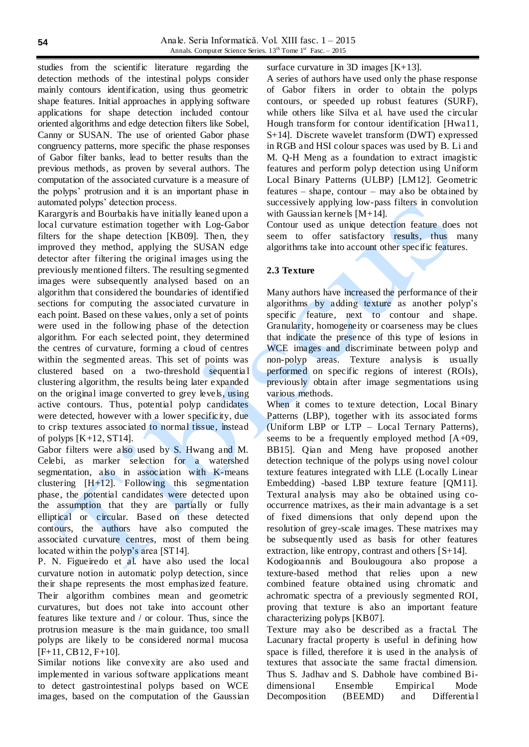studies from the scientific literature regarding the detection methods of the intestinal polyps consider mainly contours identification, using thus geometric shape features. Initial approaches in applying software applications for shape detection included contour oriented algorithms and edge detection filters like Sobel, Canny or SUSAN. The use of oriented Gabor phase congruency patterns, more specific the phase responses of Gabor filter banks, lead to better results than the previous methods, as proven by several authors. The computation of the associated curvature is a measure of the polyps' protrusion and it is an important phase in automated polyps' detection process.

Karargyris and Bourbakis have initially leaned upon a local curvature estimation together with Log-Gabor filters for the shape detection [KB09]. Then, they improved they method, applying the SUSAN edge detector after filtering the original images using the previously mentioned filters. The resulting segmented images were subsequently analysed based on an algorithm that considered the boundaries of identified sections for computing the associated curvature in each point. Based on these values, only a set of points were used in the following phase of the detection algorithm. For each selected point, they determined the centres of curvature, forming a cloud of centres within the segmented areas. This set of points was clustered based on a two-threshold sequentia l clustering algorithm, the results being later expanded on the original image converted to grey levels, using active contours. Thus, potential polyp candidates were detected, however with a lower specificity, due to crisp textures associated to normal tissue, instead of polyps  $[K+12, ST14]$ .

Gabor filters were also used by S. Hwang and M. Celebi, as marker selection for a watershed segmentation, also in association with K-means clustering [H+12]. Following this segmentation phase, the potential candidates were detected upon the assumption that they are partially or fully elliptical or circular. Based on these detected contours, the authors have also computed the associated curvature centres, most of them being located within the polyp's area [ST14].

P. N. Figueiredo et al. have also used the local curvature notion in automatic polyp detection, since their shape represents the most emphasized feature. Their algorithm combines mean and geometric curvatures, but does not take into account other features like texture and / or colour. Thus, since the protrusion measure is the main guidance, too small polyps are likely to be considered normal mucosa [F+11, CB12, F+10].

Similar notions like convexity are also used and implemented in various software applications meant to detect gastrointestinal polyps based on WCE images, based on the computation of the Gaussian surface curvature in 3D images [K+13].

A series of authors have used only the phase response of Gabor filters in order to obtain the polyps contours, or speeded up robust features (SURF), while others like Silva et al. have used the circular Hough transform for contour identification [Hwa11, S+14]. Discrete wavelet transform (DWT) expressed in RGB and HSI colour spaces was used by B. Li and M. Q-H Meng as a foundation to extract imagistic features and perform polyp detection using Uniform Local Binary Patterns (ULBP) [LM12]. Geometric features – shape, contour – may also be obtained by successively applying low-pass filters in convolution with Gaussian kernels [M+14].

Contour used as unique detection feature does not seem to offer satisfactory results, thus many algorithms take into account other specific features.

### **2.3 Texture**

Many authors have increased the performance of their algorithms by adding texture as another polyp's specific feature, next to contour and shape. Granularity, homogeneity or coarseness may be clues that indicate the presence of this type of lesions in WCE images and discriminate between polyp and non-polyp areas. Texture analysis is usually performed on specific regions of interest (ROIs), previously obtain after image segmentations using various methods.

When it comes to texture detection, Local Binary Patterns (LBP), together with its associated forms (Uniform LBP or LTP – Local Ternary Patterns), seems to be a frequently employed method [A+09, BB15]. Qian and Meng have proposed another detection technique of the polyps using novel colour texture features integrated with LLE (Locally Linear Embedding) -based LBP texture feature [QM11]. Textural analysis may also be obtained using cooccurrence matrixes, as their main advantage is a set of fixed dimensions that only depend upon the resolution of grey-scale images. These matrixes may be subsequently used as basis for other features extraction, like entropy, contrast and others [S+14].

Kodogioannis and Boulougoura also propose a texture-based method that relies upon a new combined feature obtained using chromatic and achromatic spectra of a previously segmented ROI, proving that texture is also an important feature characterizing polyps [KB07].

Texture may also be described as a fractal. The Lacunary fractal property is useful in defining how space is filled, therefore it is used in the analysis of textures that associate the same fractal dimension. Thus S. Jadhav and S. Dabhole have combined Bidimensional Ensemble Empirical Mode Decomposition (BEEMD) and Differentia l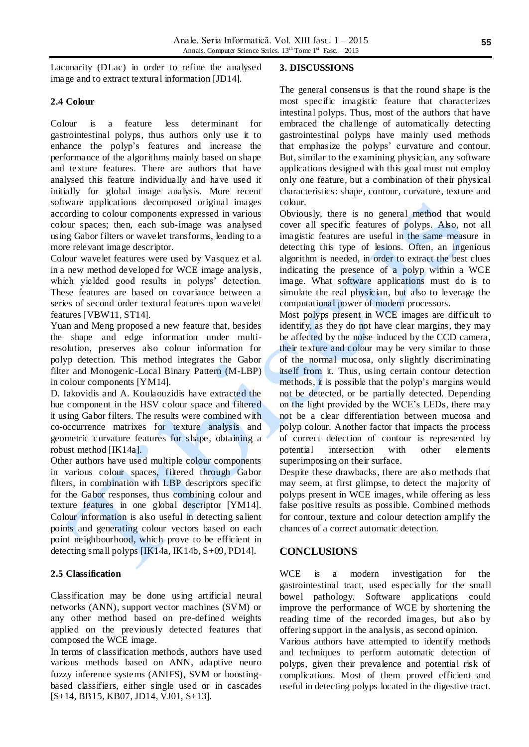Lacunarity (DLac) in order to refine the analysed image and to extract textural information [JD14].

## **2.4 Colour**

Colour is a feature less determinant for gastrointestinal polyps, thus authors only use it to enhance the polyp's features and increase the performance of the algorithms mainly based on shape and texture features. There are authors that have analysed this feature individually and have used it initially for global image analysis. More recent software applications decomposed original images according to colour components expressed in various colour spaces; then, each sub-image was analysed using Gabor filters or wavelet transforms, leading to a more relevant image descriptor.

Colour wavelet features were used by Vasquez et al. in a new method developed for WCE image analysis, which yielded good results in polyps' detection. These features are based on covariance between a series of second order textural features upon wavelet features [VBW11, ST14].

Yuan and Meng proposed a new feature that, besides the shape and edge information under multiresolution, preserves also colour information for polyp detection. This method integrates the Gabor filter and Monogenic-Local Binary Pattern (M-LBP) in colour components [YM14].

D. Iakovidis and A. Koulaouzidis have extracted the hue component in the HSV colour space and filtered it using Gabor filters. The results were combined with co-occurrence matrixes for texture analysis and geometric curvature features for shape, obtaining a robust method [IK14a].

Other authors have used multiple colour components in various colour spaces, filtered through Gabor filters, in combination with LBP descriptors specific for the Gabor responses, thus combining colour and texture features in one global descriptor [YM14]. Colour information is also useful in detecting salient points and generating colour vectors based on each point neighbourhood, which prove to be efficient in detecting small polyps [IK14a, IK14b, S+09, PD14].

## **2.5 Classification**

Classification may be done using artificial neural networks (ANN), support vector machines (SVM) or any other method based on pre-defined weights applied on the previously detected features that composed the WCE image.

In terms of classification methods, authors have used various methods based on ANN, adaptive neuro fuzzy inference systems (ANIFS), SVM or boostingbased classifiers, either single used or in cascades [S+14, BB15, KB07, JD14, VJ01, S+13].

#### **3. DISCUSSIONS**

The general consensus is that the round shape is the most specific imagistic feature that characterizes intestinal polyps. Thus, most of the authors that have embraced the challenge of automatically detecting gastrointestinal polyps have mainly used methods that emphasize the polyps' curvature and contour. But, similar to the examining physician, any software applications designed with this goal must not employ only one feature, but a combination of their physical characteristics: shape, contour, curvature, texture and colour.

Obviously, there is no general method that would cover all specific features of polyps. Also, not all imagistic features are useful in the same measure in detecting this type of lesions. Often, an ingenious algorithm is needed, in order to extract the best clues indicating the presence of a polyp within a WCE image. What software applications must do is to simulate the real physician, but also to leverage the computational power of modern processors.

Most polyps present in WCE images are difficult to identify, as they do not have clear margins, they may be affected by the noise induced by the CCD camera, their texture and colour may be very similar to those of the normal mucosa, only slightly discriminating itself from it. Thus, using certain contour detection methods, it is possible that the polyp's margins would not be detected, or be partially detected. Depending on the light provided by the WCE's LEDs, there may not be a clear differentiation between mucosa and polyp colour. Another factor that impacts the process of correct detection of contour is represented by potential intersection with other elements superimposing on their surface.

Despite these drawbacks, there are also methods that may seem, at first glimpse, to detect the majority of polyps present in WCE images, while offering as less false positive results as possible. Combined methods for contour, texture and colour detection amplify the chances of a correct automatic detection.

# **CONCLUSIONS**

WCE is a modern investigation for the gastrointestinal tract, used especially for the small bowel pathology. Software applications could improve the performance of WCE by shortening the reading time of the recorded images, but also by offering support in the analysis, as second opinion.

Various authors have attempted to identify methods and techniques to perform automatic detection of polyps, given their prevalence and potential risk of complications. Most of them proved efficient and useful in detecting polyps located in the digestive tract.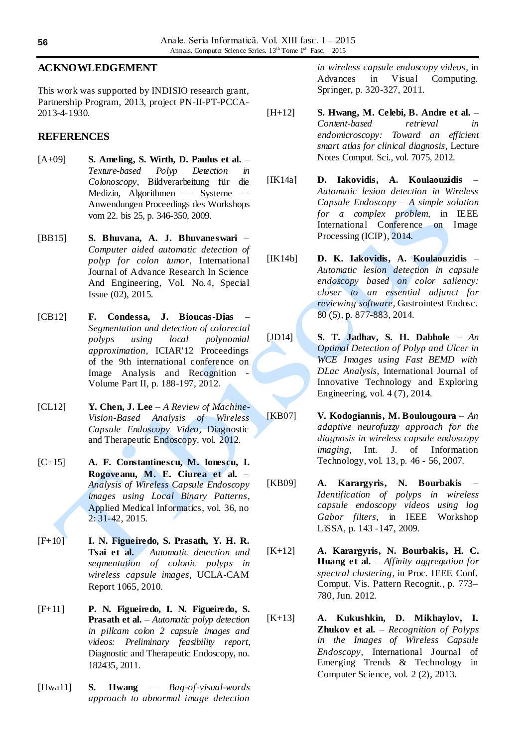## **ACKNOWLEDGEMENT**

This work was supported by INDISIO research grant, Partnership Program, 2013, project PN-II-PT-PCCA-2013-4-1930.

### **REFERENCES**

- [A+09] **S. Ameling, S. Wirth, D. Paulus et al.** *Texture-based Polyp Detection in Colonoscopy*, Bildverarbeitung für die Medizin, Algorithmen — Systeme — Anwendungen Proceedings des Workshops vom 22. bis 25, p. 346-350, 2009.
- [BB15] **S. Bhuvana, A. J. Bhuvaneswari** *Computer aided automatic detection of polyp for colon tumor*, International Journal of Advance Research In Science And Engineering, Vol. No.4, Special Issue (02), 2015.
- [CB12] **F. Condessa, J. Bioucas-Dias** *Segmentation and detection of colorectal polyps using local polynomial approximation*, ICIAR'12 Proceedings of the 9th international conference on Image Analysis and Recognition - Volume Part II, p. 188-197, 2012.
- [CL12] **Y. Chen, J. Lee** *A Review of Machine-Vision-Based Analysis of Wireless Capsule Endoscopy Video*, Diagnostic and Therapeutic Endoscopy, vol. 2012.
- [C+15] **A. F. Constantinescu, M. Ionescu, I. Rogoveanu, M. E. Ciurea et al.** – *Analysis of Wireless Capsule Endoscopy images using Local Binary Patterns*, Applied Medical Informatics, vol. 36, no 2: 31-42, 2015.
- [F+10] **I. N. Figueiredo, S. Prasath, Y. H. R. Tsai et al.** – *Automatic detection and segmentation of colonic polyps in wireless capsule images*, UCLA-CAM Report 1065, 2010.
- [F+11] **P. N. Figueiredo, I. N. Figueiredo, S. Prasath et al.** – *Automatic polyp detection in pillcam colon 2 capsule images and videos: Preliminary feasibility report*, Diagnostic and Therapeutic Endoscopy, no. 182435, 2011.
- [Hwa11] **S. Hwang** *Bag-of-visual-words approach to abnormal image detection*

*in wireless capsule endoscopy videos*, in Advances in Visual Computing. Springer, p. 320-327, 2011.

- [H+12] **S. Hwang, M. Celebi, B. Andre et al.** *Content-based retrieval in endomicroscopy: Toward an efficient smart atlas for clinical diagnosis*, Lecture Notes Comput. Sci., vol. 7075, 2012.
- [IK14a] **D. Iakovidis, A. Koulaouzidis** *Automatic lesion detection in Wireless Capsule Endoscopy – A simple solution for a complex problem*, in IEEE International Conference on Image Processing (ICIP), 2014.
- [IK14b] **D. K. Iakovidis, A. Koulaouzidis** *Automatic lesion detection in capsule endoscopy based on color saliency: closer to an essential adjunct for reviewing software*, Gastrointest Endosc. 80 (5), p. 877-883, 2014.
- [JD14] **S. T. Jadhav, S. H. Dabhole** *An Optimal Detection of Polyp and Ulcer in WCE Images using Fast BEMD with DLac Analysis*, International Journal of Innovative Technology and Exploring Engineering, vol. 4 (7), 2014.
- [KB07] **V. Kodogiannis, M. Boulougoura** *An adaptive neurofuzzy approach for the diagnosis in wireless capsule endoscopy imaging*, Int. J. of Information Technology, vol. 13, p. 46 - 56, 2007.
- [KB09] **A. Karargyris, N. Bourbakis** *Identification of polyps in wireless capsule endoscopy videos using log Gabor filters*, in IEEE Workshop LiSSA, p. 143 -147, 2009.
- [K+12] **A. Karargyris, N. Bourbakis, H. C. Huang et al.** – *Affinity aggregation for spectral clustering*, in Proc. IEEE Conf. Comput. Vis. Pattern Recognit., p. 773– 780, Jun. 2012.
- [K+13] **A. Kukushkin, D. Mikhaylov, I. Zhukov et al.** – *Recognition of Polyps in the Images of Wireless Capsule Endoscopy*, International Journal of Emerging Trends & Technology in Computer Science, vol. 2 (2), 2013.